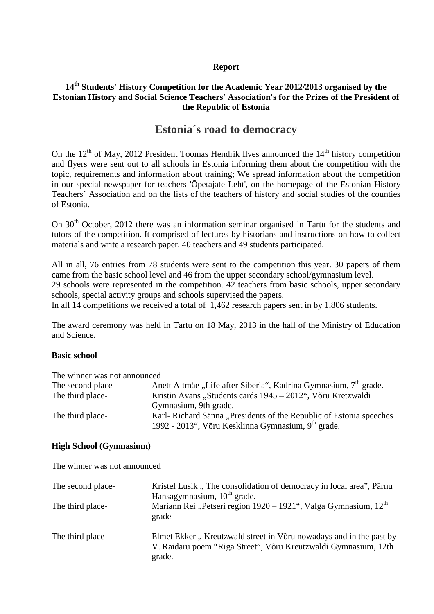### **Report**

## **14th Students' History Competition for the Academic Year 2012/2013 organised by the Estonian History and Social Science Teachers' Association's for the Prizes of the President of the Republic of Estonia**

# **Estonia´s road to democracy**

On the  $12<sup>th</sup>$  of May, 2012 President Toomas Hendrik Ilves announced the  $14<sup>th</sup>$  history competition and flyers were sent out to all schools in Estonia informing them about the competition with the topic, requirements and information about training; We spread information about the competition in our special newspaper for teachers 'Õpetajate Leht', on the homepage of the Estonian History Teachers´ Association and on the lists of the teachers of history and social studies of the counties of Estonia.

On 30<sup>th</sup> October, 2012 there was an information seminar organised in Tartu for the students and tutors of the competition. It comprised of lectures by historians and instructions on how to collect materials and write a research paper. 40 teachers and 49 students participated.

All in all, 76 entries from 78 students were sent to the competition this year. 30 papers of them came from the basic school level and 46 from the upper secondary school/gymnasium level. 29 schools were represented in the competition. 42 teachers from basic schools, upper secondary schools, special activity groups and schools supervised the papers.

In all 14 competitions we received a total of 1,462 research papers sent in by 1,806 students.

The award ceremony was held in Tartu on 18 May, 2013 in the hall of the Ministry of Education and Science.

### **Basic school**

The winner was not announced The second place-<br>Anett Altmäe "Life after Siberia", Kadrina Gymnasium, 7<sup>th</sup> grade. The third place-<br>Kristin Avans "Students cards 1945 – 2012", Võru Kretzwaldi Gymnasium, 9th grade. The third place-<br>Karl- Richard Sänna "Presidents of the Republic of Estonia speeches 1992 - 2013", Võru Kesklinna Gymnasium, 9<sup>th</sup> grade.

#### **High School (Gymnasium)**

The winner was not announced

| The second place- | Kristel Lusik, The consolidation of democracy in local area", Pärnu<br>Hansagymnasium, $10th$ grade.                                            |
|-------------------|-------------------------------------------------------------------------------------------------------------------------------------------------|
| The third place-  | Mariann Rei "Petseri region 1920 – 1921", Valga Gymnasium, 12 <sup>th</sup><br>grade                                                            |
| The third place-  | Elmet Ekker, Kreutzwald street in Võru nowadays and in the past by<br>V. Raidaru poem "Riga Street", Võru Kreutzwaldi Gymnasium, 12th<br>grade. |